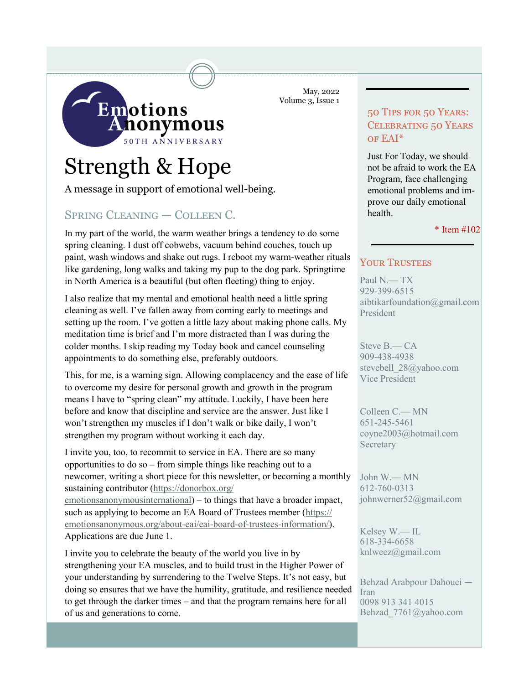

May, 2022 Volume 3, Issue 1

# Strength & Hope

A message in support of emotional well-being.

# Spring Cleaning — Colleen C.

In my part of the world, the warm weather brings a tendency to do some spring cleaning. I dust off cobwebs, vacuum behind couches, touch up paint, wash windows and shake out rugs. I reboot my warm-weather rituals like gardening, long walks and taking my pup to the dog park. Springtime in North America is a beautiful (but often fleeting) thing to enjoy.

I also realize that my mental and emotional health need a little spring cleaning as well. I've fallen away from coming early to meetings and setting up the room. I've gotten a little lazy about making phone calls. My meditation time is brief and I'm more distracted than I was during the colder months. I skip reading my Today book and cancel counseling appointments to do something else, preferably outdoors.

This, for me, is a warning sign. Allowing complacency and the ease of life to overcome my desire for personal growth and growth in the program means I have to "spring clean" my attitude. Luckily, I have been here before and know that discipline and service are the answer. Just like I won't strengthen my muscles if I don't walk or bike daily, I won't strengthen my program without working it each day.

I invite you, too, to recommit to service in EA. There are so many opportunities to do so – from simple things like reaching out to a newcomer, writing a short piece for this newsletter, or becoming a monthly sustaining contributor ([https://donorbox.org/](https://donorbox.org/emotionsanonymousinternational) [emotionsanonymousinternational](https://donorbox.org/emotionsanonymousinternational)) – to things that have a broader impact, such as applying to become an EA Board of Trustees member ([https://](https://emotionsanonymous.org/about-eai/eai-board-of-trustees-information/) [emotionsanonymous.org/about](https://emotionsanonymous.org/about-eai/eai-board-of-trustees-information/)-eai/eai-board-of-trustees-information/). Applications are due June 1.

I invite you to celebrate the beauty of the world you live in by strengthening your EA muscles, and to build trust in the Higher Power of your understanding by surrendering to the Twelve Steps. It's not easy, but doing so ensures that we have the humility, gratitude, and resilience needed to get through the darker times – and that the program remains here for all of us and generations to come.

## 50 Tips for 50 Years: Celebrating 50 Years of EAI\*

Just For Today, we should not be afraid to work the EA Program, face challenging emotional problems and improve our daily emotional health.

#### \* Item #102

## YOUR TRUSTEES

Paul N.— TX 929-399-6515 aibtikarfoundation@gmail.com President

Steve B.— CA 909-438-4938 stevebell 28@yahoo.com Vice President

Colleen C.— MN 651-245-5461 coyne2003@hotmail.com **Secretary** 

John W.— MN 612-760-0313 johnwerner52@gmail.com

Kelsey W.— IL 618-334-6658 knlweez@gmail.com

Behzad Arabpour Dahouei — Iran 0098 913 341 4015 Behzad\_7761@yahoo.com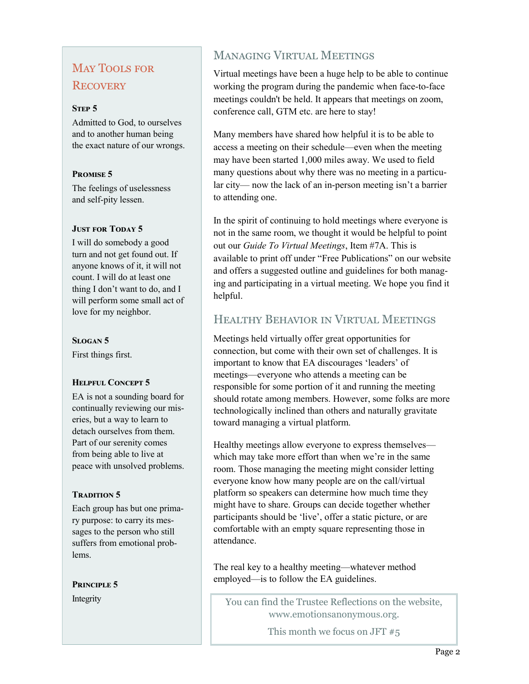# May Tools for **RECOVERY**

#### **STEP 5**

Admitted to God, to ourselves and to another human being the exact nature of our wrongs.

#### **Promise 5**

The feelings of uselessness and self-pity lessen.

#### **JUST FOR TODAY 5**

I will do somebody a good turn and not get found out. If anyone knows of it, it will not count. I will do at least one thing I don't want to do, and I will perform some small act of love for my neighbor.

#### **Slogan 5**

First things first.

## **HELPFUL CONCEPT 5**

EA is not a sounding board for continually reviewing our miseries, but a way to learn to detach ourselves from them. Part of our serenity comes from being able to live at peace with unsolved problems.

## **TRADITION 5**

Each group has but one primary purpose: to carry its messages to the person who still suffers from emotional problems.

**Principle 5**

# Managing Virtual Meetings

Virtual meetings have been a huge help to be able to continue working the program during the pandemic when face-to-face meetings couldn't be held. It appears that meetings on zoom, conference call, GTM etc. are here to stay!

Many members have shared how helpful it is to be able to access a meeting on their schedule—even when the meeting may have been started 1,000 miles away. We used to field many questions about why there was no meeting in a particular city— now the lack of an in-person meeting isn't a barrier to attending one.

In the spirit of continuing to hold meetings where everyone is not in the same room, we thought it would be helpful to point out our *Guide To Virtual Meetings*, Item #7A. This is available to print off under "Free Publications" on our website and offers a suggested outline and guidelines for both managing and participating in a virtual meeting. We hope you find it helpful.

# Healthy Behavior in Virtual Meetings

Meetings held virtually offer great opportunities for connection, but come with their own set of challenges. It is important to know that EA discourages 'leaders' of meetings—everyone who attends a meeting can be responsible for some portion of it and running the meeting should rotate among members. However, some folks are more technologically inclined than others and naturally gravitate toward managing a virtual platform.

Healthy meetings allow everyone to express themselves which may take more effort than when we're in the same room. Those managing the meeting might consider letting everyone know how many people are on the call/virtual platform so speakers can determine how much time they might have to share. Groups can decide together whether participants should be 'live', offer a static picture, or are comfortable with an empty square representing those in attendance.

The real key to a healthy meeting—whatever method employed—is to follow the EA guidelines.

Integrity You can find the Trustee Reflections on the website. [www.emotionsanonymous.org.](https://www.emotionsanonymous.org)

This month we focus on JFT  $#5$